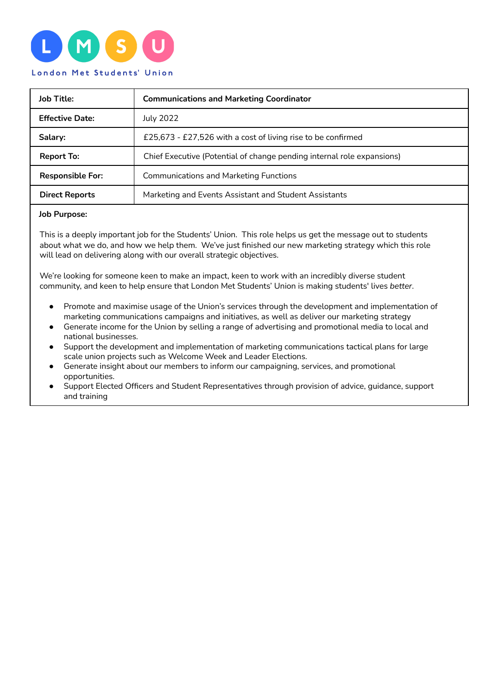

| <b>Job Title:</b>       | <b>Communications and Marketing Coordinator</b>                        |
|-------------------------|------------------------------------------------------------------------|
| <b>Effective Date:</b>  | <b>July 2022</b>                                                       |
| Salary:                 | £25,673 - £27,526 with a cost of living rise to be confirmed           |
| <b>Report To:</b>       | Chief Executive (Potential of change pending internal role expansions) |
| <b>Responsible For:</b> | <b>Communications and Marketing Functions</b>                          |
| <b>Direct Reports</b>   | Marketing and Events Assistant and Student Assistants                  |

#### **Job Purpose:**

This is a deeply important job for the Students' Union. This role helps us get the message out to students about what we do, and how we help them. We've just finished our new marketing strategy which this role will lead on delivering along with our overall strategic objectives.

We're looking for someone keen to make an impact, keen to work with an incredibly diverse student community, and keen to help ensure that London Met Students' Union is making students' lives *better*.

- Promote and maximise usage of the Union's services through the development and implementation of marketing communications campaigns and initiatives, as well as deliver our marketing strategy
- Generate income for the Union by selling a range of advertising and promotional media to local and national businesses.
- Support the development and implementation of marketing communications tactical plans for large scale union projects such as Welcome Week and Leader Elections.
- Generate insight about our members to inform our campaigning, services, and promotional opportunities.
- Support Elected Officers and Student Representatives through provision of advice, guidance, support and training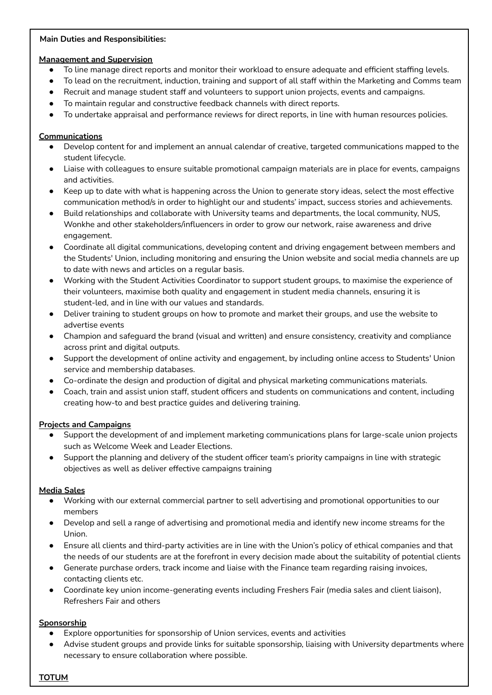### **Main Duties and Responsibilities:**

### **Management and Supervision**

- To line manage direct reports and monitor their workload to ensure adequate and efficient staffing levels.
- To lead on the recruitment, induction, training and support of all staff within the Marketing and Comms team
- Recruit and manage student staff and volunteers to support union projects, events and campaigns.
- To maintain regular and constructive feedback channels with direct reports.
- To undertake appraisal and performance reviews for direct reports, in line with human resources policies.

# **Communications**

- Develop content for and implement an annual calendar of creative, targeted communications mapped to the student lifecycle.
- Liaise with colleagues to ensure suitable promotional campaign materials are in place for events, campaigns and activities.
- Keep up to date with what is happening across the Union to generate story ideas, select the most effective communication method/s in order to highlight our and students' impact, success stories and achievements.
- Build relationships and collaborate with University teams and departments, the local community, NUS, Wonkhe and other stakeholders/influencers in order to grow our network, raise awareness and drive engagement.
- Coordinate all digital communications, developing content and driving engagement between members and the Students' Union, including monitoring and ensuring the Union website and social media channels are up to date with news and articles on a regular basis.
- Working with the Student Activities Coordinator to support student groups, to maximise the experience of their volunteers, maximise both quality and engagement in student media channels, ensuring it is student-led, and in line with our values and standards.
- Deliver training to student groups on how to promote and market their groups, and use the website to advertise events
- Champion and safeguard the brand (visual and written) and ensure consistency, creativity and compliance across print and digital outputs.
- Support the development of online activity and engagement, by including online access to Students' Union service and membership databases.
- Co-ordinate the design and production of digital and physical marketing communications materials.
- Coach, train and assist union staff, student officers and students on communications and content, including creating how-to and best practice guides and delivering training.

# **Projects and Campaigns**

- Support the development of and implement marketing communications plans for large-scale union projects such as Welcome Week and Leader Elections.
- Support the planning and delivery of the student officer team's priority campaigns in line with strategic objectives as well as deliver effective campaigns training

# **Media Sales**

- Working with our external commercial partner to sell advertising and promotional opportunities to our members
- Develop and sell a range of advertising and promotional media and identify new income streams for the Union.
- Ensure all clients and third-party activities are in line with the Union's policy of ethical companies and that the needs of our students are at the forefront in every decision made about the suitability of potential clients
- Generate purchase orders, track income and liaise with the Finance team regarding raising invoices, contacting clients etc.
- Coordinate key union income-generating events including Freshers Fair (media sales and client liaison), Refreshers Fair and others

# **Sponsorship**

- Explore opportunities for sponsorship of Union services, events and activities
- Advise student groups and provide links for suitable sponsorship, liaising with University departments where necessary to ensure collaboration where possible.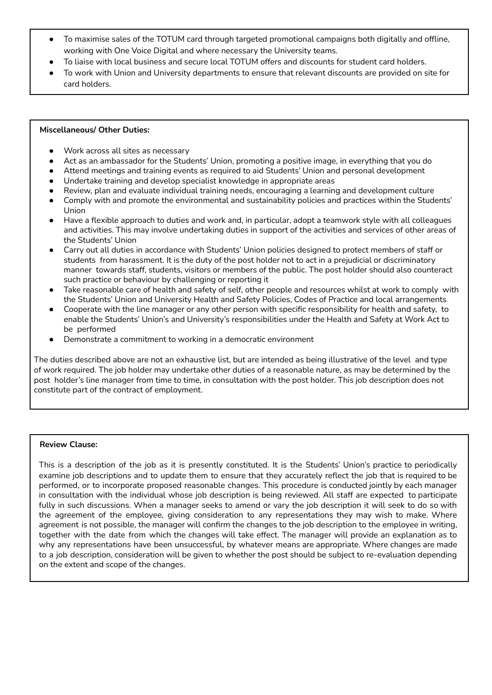- To maximise sales of the TOTUM card through targeted promotional campaigns both digitally and offline, working with One Voice Digital and where necessary the University teams.
- To liaise with local business and secure local TOTUM offers and discounts for student card holders.
- To work with Union and University departments to ensure that relevant discounts are provided on site for card holders.

#### **Miscellaneous/ Other Duties:**

- Work across all sites as necessary
- Act as an ambassador for the Students' Union, promoting a positive image, in everything that you do
- Attend meetings and training events as required to aid Students' Union and personal development
- Undertake training and develop specialist knowledge in appropriate areas
- Review, plan and evaluate individual training needs, encouraging a learning and development culture
- Comply with and promote the environmental and sustainability policies and practices within the Students' Union
- Have a flexible approach to duties and work and, in particular, adopt a teamwork style with all colleagues and activities. This may involve undertaking duties in support of the activities and services of other areas of the Students' Union
- Carry out all duties in accordance with Students' Union policies designed to protect members of staff or students from harassment. It is the duty of the post holder not to act in a prejudicial or discriminatory manner towards staff, students, visitors or members of the public. The post holder should also counteract such practice or behaviour by challenging or reporting it
- Take reasonable care of health and safety of self, other people and resources whilst at work to comply with the Students' Union and University Health and Safety Policies, Codes of Practice and local arrangements
- Cooperate with the line manager or any other person with specific responsibility for health and safety, to enable the Students' Union's and University's responsibilities under the Health and Safety at Work Act to be performed
- Demonstrate a commitment to working in a democratic environment

The duties described above are not an exhaustive list, but are intended as being illustrative of the level and type of work required. The job holder may undertake other duties of a reasonable nature, as may be determined by the post holder's line manager from time to time, in consultation with the post holder. This job description does not constitute part of the contract of employment.

#### **Review Clause:**

This is a description of the job as it is presently constituted. It is the Students' Union's practice to periodically examine job descriptions and to update them to ensure that they accurately reflect the job that is required to be performed, or to incorporate proposed reasonable changes. This procedure is conducted jointly by each manager in consultation with the individual whose job description is being reviewed. All staff are expected to participate fully in such discussions. When a manager seeks to amend or vary the job description it will seek to do so with the agreement of the employee, giving consideration to any representations they may wish to make. Where agreement is not possible, the manager will confirm the changes to the job description to the employee in writing, together with the date from which the changes will take effect. The manager will provide an explanation as to why any representations have been unsuccessful, by whatever means are appropriate. Where changes are made to a job description, consideration will be given to whether the post should be subject to re-evaluation depending on the extent and scope of the changes.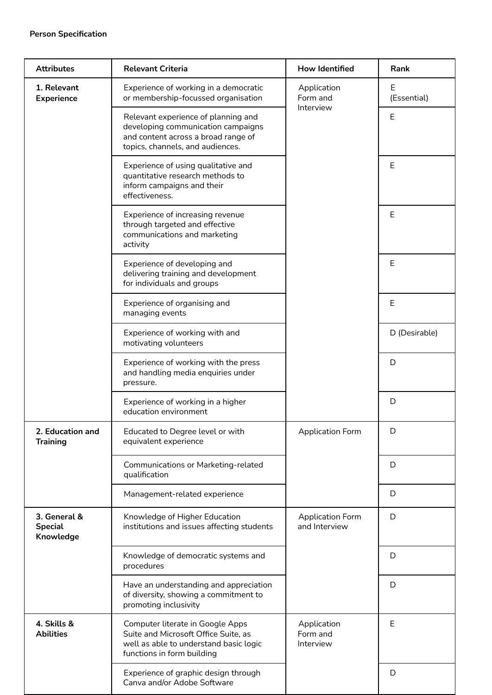| <b>Attributes</b>                           | <b>Relevant Criteria</b>                                                                                                                             | <b>How Identified</b>                    | Rank             |
|---------------------------------------------|------------------------------------------------------------------------------------------------------------------------------------------------------|------------------------------------------|------------------|
| 1. Relevant<br><b>Experience</b>            | Experience of working in a democratic<br>or membership-focussed organisation                                                                         | Application<br>Form and<br>Interview     | Ε<br>(Essential) |
|                                             | Relevant experience of planning and<br>developing communication campaigns<br>and content across a broad range of<br>topics, channels, and audiences. |                                          | E                |
|                                             | Experience of using qualitative and<br>quantitative research methods to<br>inform campaigns and their<br>effectiveness.                              |                                          | E                |
|                                             | Experience of increasing revenue<br>through targeted and effective<br>communications and marketing<br>activity                                       |                                          | E                |
|                                             | Experience of developing and<br>delivering training and development<br>for individuals and groups                                                    |                                          | Ε                |
|                                             | Experience of organising and<br>managing events                                                                                                      |                                          | Ε                |
|                                             | Experience of working with and<br>motivating volunteers                                                                                              |                                          | D (Desirable)    |
|                                             | Experience of working with the press<br>and handling media enquiries under<br>pressure.                                                              |                                          | D                |
|                                             | Experience of working in a higher<br>education environment                                                                                           |                                          | D                |
| 2. Education and<br><b>Training</b>         | Educated to Degree level or with<br>equivalent experience                                                                                            | Application Form                         | D                |
|                                             | Communications or Marketing-related<br>qualification                                                                                                 |                                          | D                |
|                                             | Management-related experience                                                                                                                        |                                          | D                |
| 3. General &<br><b>Special</b><br>Knowledge | Knowledge of Higher Education<br>institutions and issues affecting students                                                                          | <b>Application Form</b><br>and Interview | D                |
|                                             | Knowledge of democratic systems and<br>procedures                                                                                                    |                                          | D                |
|                                             | Have an understanding and appreciation<br>of diversity, showing a commitment to<br>promoting inclusivity                                             |                                          | D                |
| 4. Skills &<br><b>Abilities</b>             | Computer literate in Google Apps<br>Suite and Microsoft Office Suite, as<br>well as able to understand basic logic<br>functions in form building     | Application<br>Form and<br>Interview     | E                |
|                                             | Experience of graphic design through<br>Canva and/or Adobe Software                                                                                  |                                          | D                |